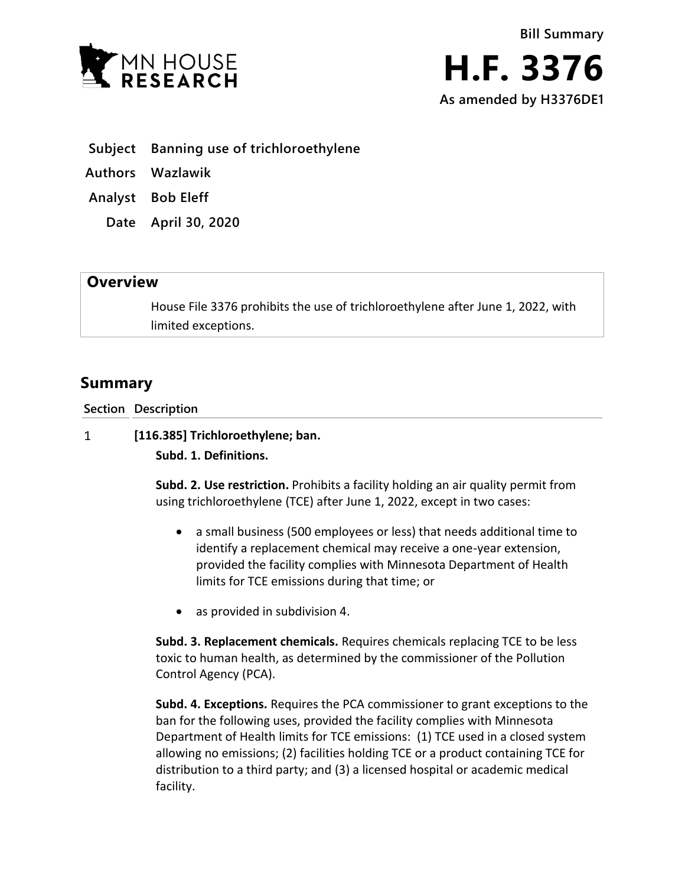



- **Subject Banning use of trichloroethylene**
- **Authors Wazlawik**
- **Analyst Bob Eleff**
	- **Date April 30, 2020**

## **Overview**

House File 3376 prohibits the use of trichloroethylene after June 1, 2022, with limited exceptions.

## **Summary**

**Section Description**

 $\mathbf{1}$ **[116.385] Trichloroethylene; ban.**

**Subd. 1. Definitions.**

**Subd. 2. Use restriction.** Prohibits a facility holding an air quality permit from using trichloroethylene (TCE) after June 1, 2022, except in two cases:

- a small business (500 employees or less) that needs additional time to identify a replacement chemical may receive a one-year extension, provided the facility complies with Minnesota Department of Health limits for TCE emissions during that time; or
- as provided in subdivision 4.

**Subd. 3. Replacement chemicals.** Requires chemicals replacing TCE to be less toxic to human health, as determined by the commissioner of the Pollution Control Agency (PCA).

**Subd. 4. Exceptions.** Requires the PCA commissioner to grant exceptions to the ban for the following uses, provided the facility complies with Minnesota Department of Health limits for TCE emissions: (1) TCE used in a closed system allowing no emissions; (2) facilities holding TCE or a product containing TCE for distribution to a third party; and (3) a licensed hospital or academic medical facility.